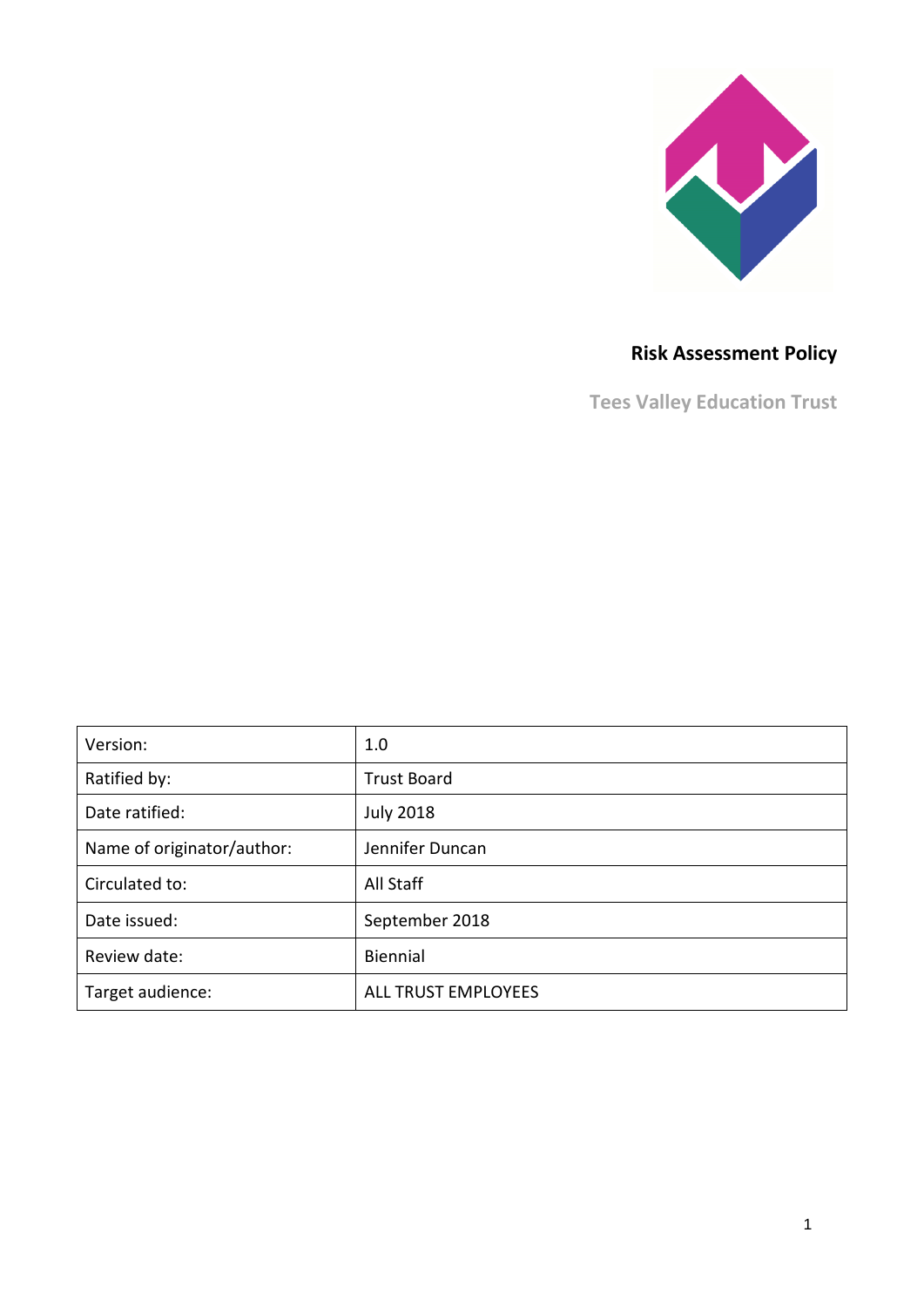

# **Risk Assessment Policy**

**Tees Valley Education Trust**

| Version:                   | 1.0                 |
|----------------------------|---------------------|
| Ratified by:               | <b>Trust Board</b>  |
| Date ratified:             | <b>July 2018</b>    |
| Name of originator/author: | Jennifer Duncan     |
| Circulated to:             | All Staff           |
| Date issued:               | September 2018      |
| Review date:               | Biennial            |
| Target audience:           | ALL TRUST EMPLOYEES |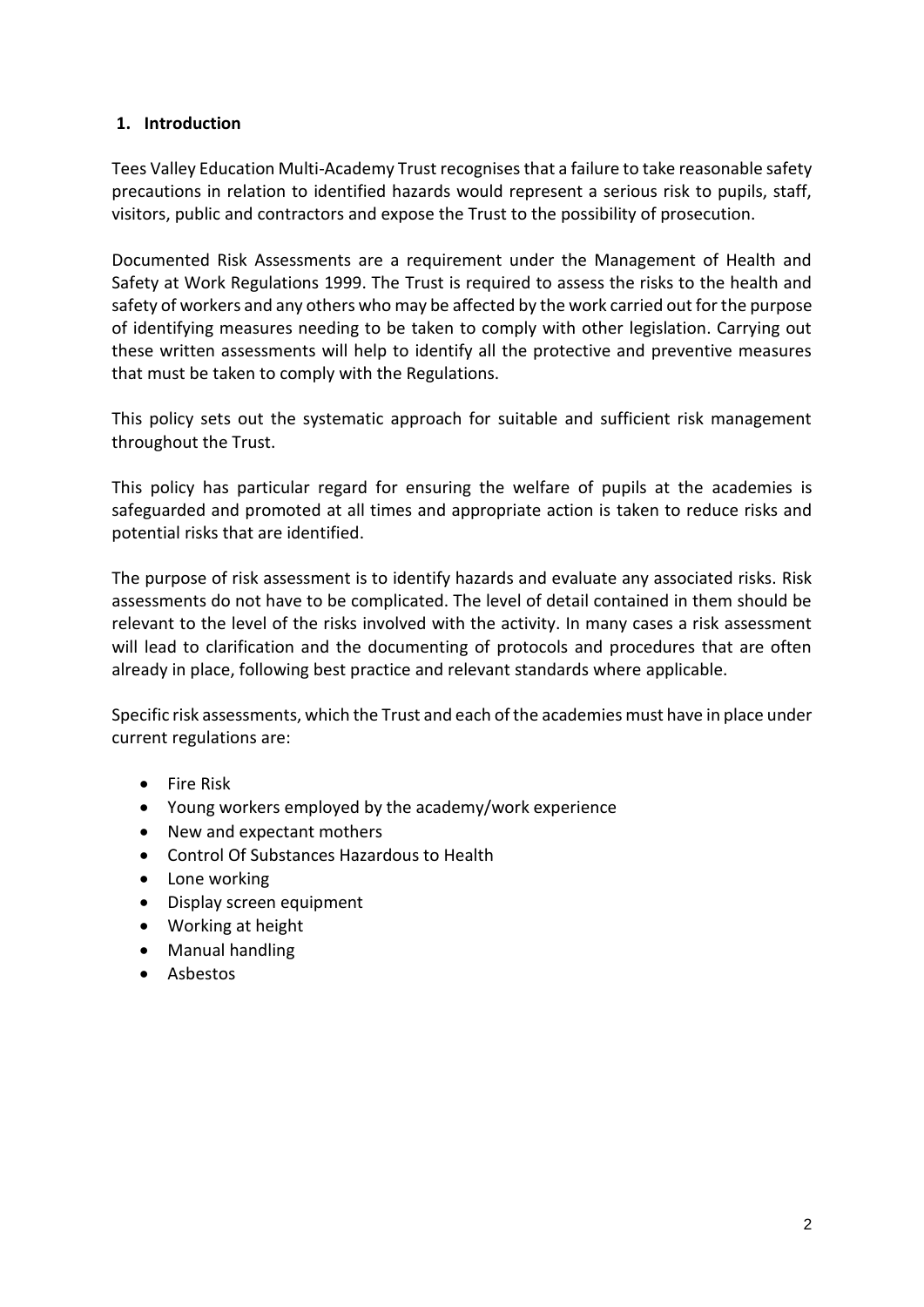#### **1. Introduction**

Tees Valley Education Multi-Academy Trust recognises that a failure to take reasonable safety precautions in relation to identified hazards would represent a serious risk to pupils, staff, visitors, public and contractors and expose the Trust to the possibility of prosecution.

Documented Risk Assessments are a requirement under the Management of Health and Safety at Work Regulations 1999. The Trust is required to assess the risks to the health and safety of workers and any others who may be affected by the work carried out for the purpose of identifying measures needing to be taken to comply with other legislation. Carrying out these written assessments will help to identify all the protective and preventive measures that must be taken to comply with the Regulations.

This policy sets out the systematic approach for suitable and sufficient risk management throughout the Trust.

This policy has particular regard for ensuring the welfare of pupils at the academies is safeguarded and promoted at all times and appropriate action is taken to reduce risks and potential risks that are identified.

The purpose of risk assessment is to identify hazards and evaluate any associated risks. Risk assessments do not have to be complicated. The level of detail contained in them should be relevant to the level of the risks involved with the activity. In many cases a risk assessment will lead to clarification and the documenting of protocols and procedures that are often already in place, following best practice and relevant standards where applicable.

Specific risk assessments, which the Trust and each of the academies must have in place under current regulations are:

- Fire Risk
- Young workers employed by the academy/work experience
- New and expectant mothers
- Control Of Substances Hazardous to Health
- Lone working
- Display screen equipment
- Working at height
- Manual handling
- Asbestos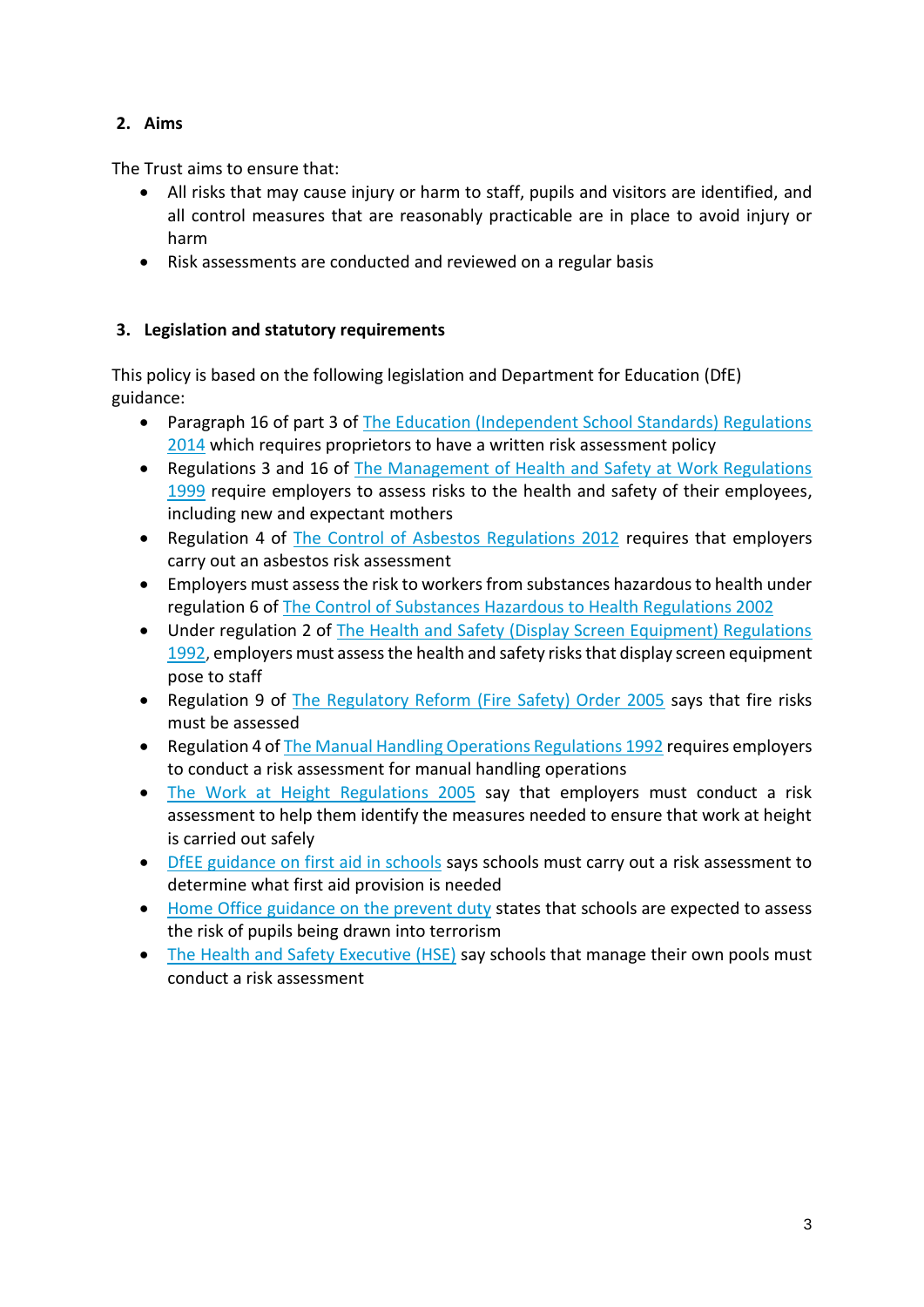# **2. Aims**

The Trust aims to ensure that:

- All risks that may cause injury or harm to staff, pupils and visitors are identified, and all control measures that are reasonably practicable are in place to avoid injury or harm
- Risk assessments are conducted and reviewed on a regular basis

# **3. Legislation and statutory requirements**

This policy is based on the following legislation and Department for Education (DfE) guidance:

- Paragraph 16 of part 3 of The Education (Independent School Standards) Regulations [2014](http://www.legislation.gov.uk/uksi/2014/3283/schedule/part/3/made) which requires proprietors to have a written risk assessment policy
- Regulations 3 and 16 of [The Management of Health and Safety at Work Regulations](http://www.legislation.gov.uk/uksi/1999/3242/contents/made)  [1999](http://www.legislation.gov.uk/uksi/1999/3242/contents/made) require employers to assess risks to the health and safety of their employees, including new and expectant mothers
- Regulation 4 of [The Control of Asbestos Regulations 2012](http://www.legislation.gov.uk/uksi/2012/632/regulation/4/made) requires that employers carry out an asbestos risk assessment
- Employers must assess the risk to workers from substances hazardous to health under regulation 6 of [The Control of Substances Hazardous to Health Regulations 2002](http://www.legislation.gov.uk/uksi/2002/2677/regulation/6/made)
- Under regulation 2 of The Health and Safety (Display Screen Equipment) Regulations [1992,](http://www.legislation.gov.uk/uksi/1992/2792/regulation/2/made) employers must assess the health and safety risks that display screen equipment pose to staff
- Regulation 9 of [The Regulatory Reform \(Fire Safety\) Order 2005](http://www.legislation.gov.uk/uksi/2005/1541/article/9/made) says that fire risks must be assessed
- Regulation 4 of [The Manual Handling Operations Regulations 1992](http://www.legislation.gov.uk/uksi/1992/2793/regulation/4/made) requires employers to conduct a risk assessment for manual handling operations
- [The Work at Height Regulations 2005](http://www.legislation.gov.uk/uksi/2005/735/regulation/6/made) say that employers must conduct a risk assessment to help them identify the measures needed to ensure that work at height is carried out safely
- DfEE [guidance on first aid in schools](https://www.gov.uk/government/uploads/system/uploads/attachment_data/file/306370/guidance_on_first_aid_for_schools.pdf) says schools must carry out a risk assessment to determine what first aid provision is needed
- [Home Office guidance on the prevent duty](https://www.gov.uk/government/publications/prevent-duty-guidance/revised-prevent-duty-guidance-for-england-and-wales) states that schools are expected to assess the risk of pupils being drawn into terrorism
- [The Health and Safety Executive \(HSE\)](http://www.hse.gov.uk/entertainment/leisure/swimming-pool.htm) say schools that manage their own pools must conduct a risk assessment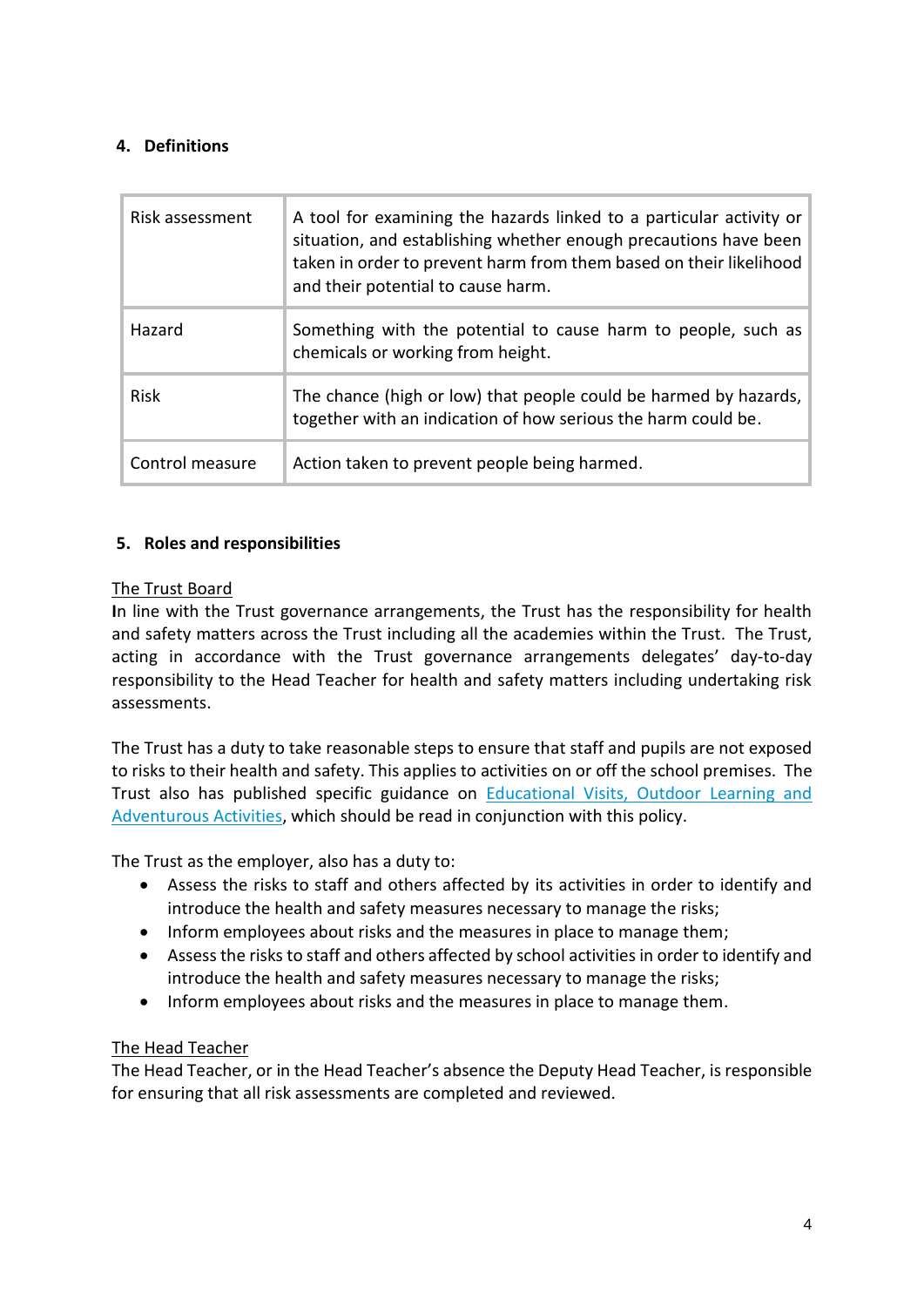#### **4. Definitions**

| Risk assessment | A tool for examining the hazards linked to a particular activity or<br>situation, and establishing whether enough precautions have been<br>taken in order to prevent harm from them based on their likelihood<br>and their potential to cause harm. |
|-----------------|-----------------------------------------------------------------------------------------------------------------------------------------------------------------------------------------------------------------------------------------------------|
| Hazard          | Something with the potential to cause harm to people, such as<br>chemicals or working from height.                                                                                                                                                  |
| <b>Risk</b>     | The chance (high or low) that people could be harmed by hazards,<br>together with an indication of how serious the harm could be.                                                                                                                   |
| Control measure | Action taken to prevent people being harmed.                                                                                                                                                                                                        |

#### **5. Roles and responsibilities**

#### The Trust Board

**I**n line with the Trust governance arrangements, the Trust has the responsibility for health and safety matters across the Trust including all the academies within the Trust. The Trust, acting in accordance with the Trust governance arrangements delegates' day-to-day responsibility to the Head Teacher for health and safety matters including undertaking risk assessments.

The Trust has a duty to take reasonable steps to ensure that staff and pupils are not exposed to risks to their health and safety. This applies to activities on or off the school premises. The Trust also has published specific guidance on [Educational Visits, Outdoor Learning and](https://www.gov.uk/government/publications/health-and-safety-on-educational-visits/health-and-safety-on-educational-visits)  [Adventurous Activities,](https://www.gov.uk/government/publications/health-and-safety-on-educational-visits/health-and-safety-on-educational-visits) which should be read in conjunction with this policy.

The Trust as the employer, also has a duty to:

- Assess the risks to staff and others affected by its activities in order to identify and introduce the health and safety measures necessary to manage the risks;
- Inform employees about risks and the measures in place to manage them;
- Assess the risks to staff and others affected by school activities in order to identify and introduce the health and safety measures necessary to manage the risks;
- Inform employees about risks and the measures in place to manage them.

#### The Head Teacher

The Head Teacher, or in the Head Teacher's absence the Deputy Head Teacher, is responsible for ensuring that all risk assessments are completed and reviewed.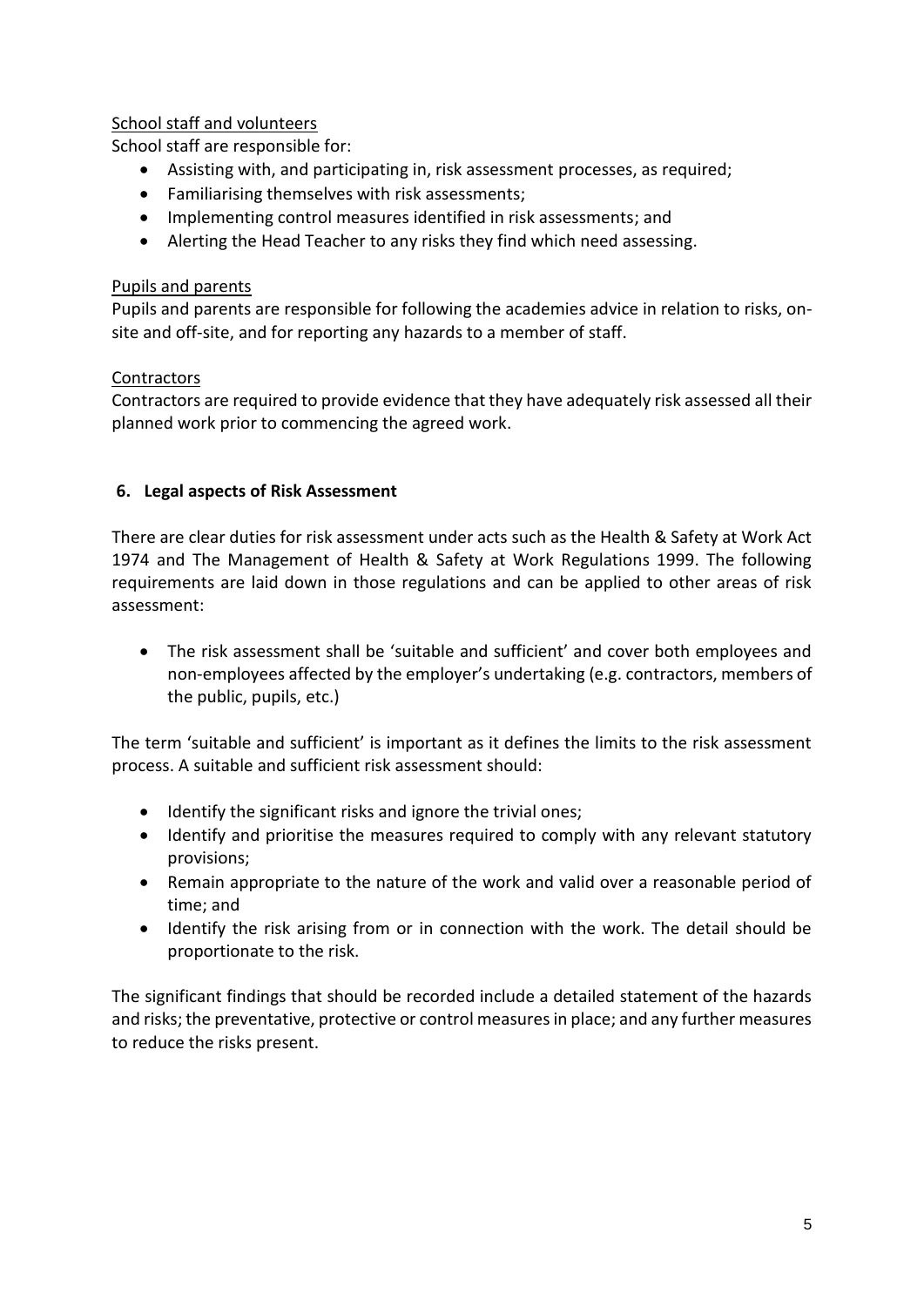#### School staff and volunteers

School staff are responsible for:

- Assisting with, and participating in, risk assessment processes, as required;
- Familiarising themselves with risk assessments;
- Implementing control measures identified in risk assessments; and
- Alerting the Head Teacher to any risks they find which need assessing.

#### Pupils and parents

Pupils and parents are responsible for following the academies advice in relation to risks, onsite and off-site, and for reporting any hazards to a member of staff.

#### **Contractors**

Contractors are required to provide evidence that they have adequately risk assessed all their planned work prior to commencing the agreed work.

#### **6. Legal aspects of Risk Assessment**

There are clear duties for risk assessment under acts such as the Health & Safety at Work Act 1974 and The Management of Health & Safety at Work Regulations 1999. The following requirements are laid down in those regulations and can be applied to other areas of risk assessment:

 The risk assessment shall be 'suitable and sufficient' and cover both employees and non-employees affected by the employer's undertaking (e.g. contractors, members of the public, pupils, etc.)

The term 'suitable and sufficient' is important as it defines the limits to the risk assessment process. A suitable and sufficient risk assessment should:

- Identify the significant risks and ignore the trivial ones;
- Identify and prioritise the measures required to comply with any relevant statutory provisions;
- Remain appropriate to the nature of the work and valid over a reasonable period of time; and
- Identify the risk arising from or in connection with the work. The detail should be proportionate to the risk.

The significant findings that should be recorded include a detailed statement of the hazards and risks; the preventative, protective or control measures in place; and any further measures to reduce the risks present.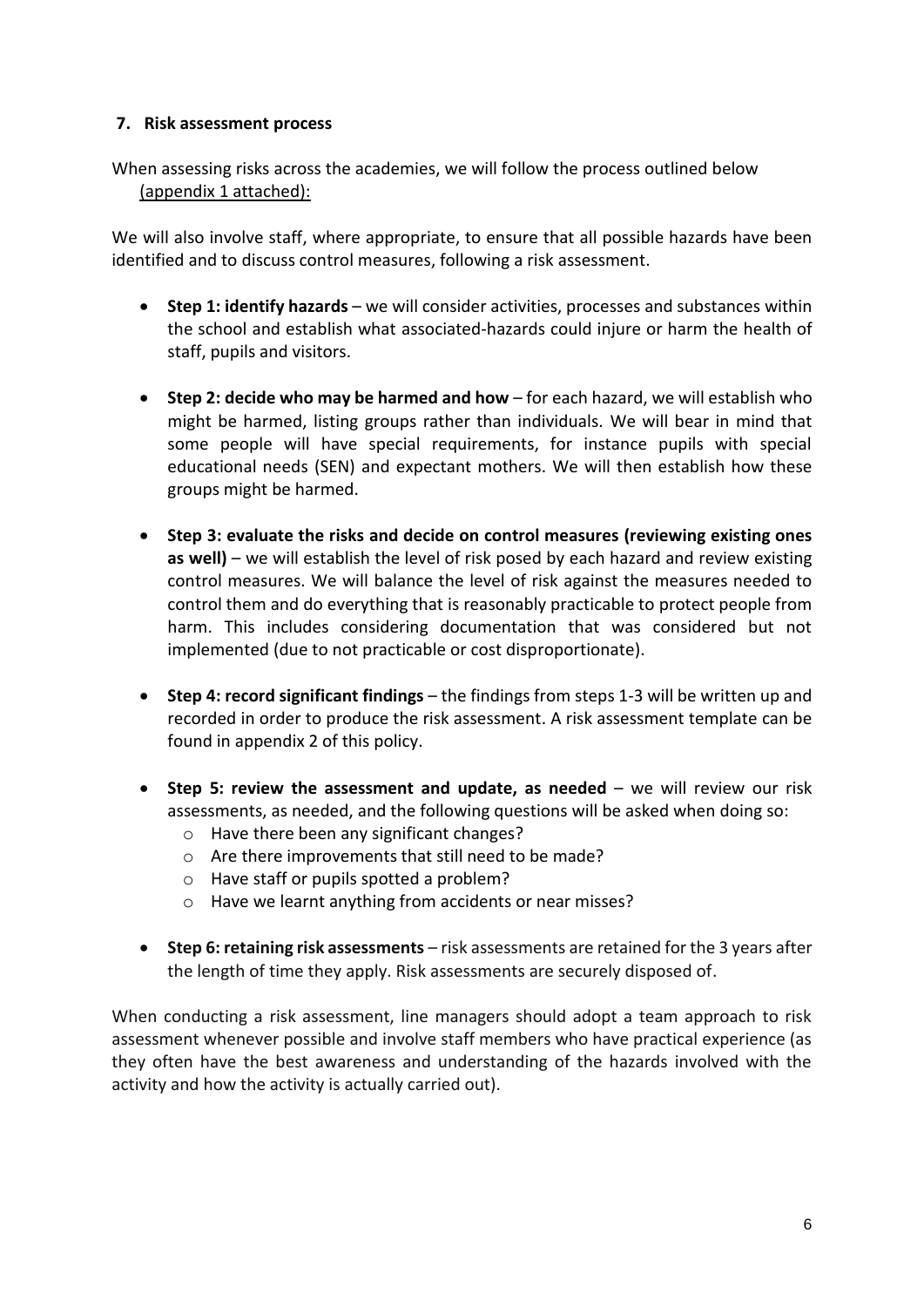#### **7. Risk assessment process**

When assessing risks across the academies, we will follow the process outlined below (appendix 1 attached):

We will also involve staff, where appropriate, to ensure that all possible hazards have been identified and to discuss control measures, following a risk assessment.

- **Step 1: identify hazards** we will consider activities, processes and substances within the school and establish what associated-hazards could injure or harm the health of staff, pupils and visitors.
- **Step 2: decide who may be harmed and how** for each hazard, we will establish who might be harmed, listing groups rather than individuals. We will bear in mind that some people will have special requirements, for instance pupils with special educational needs (SEN) and expectant mothers. We will then establish how these groups might be harmed.
- **Step 3: evaluate the risks and decide on control measures (reviewing existing ones as well)** – we will establish the level of risk posed by each hazard and review existing control measures. We will balance the level of risk against the measures needed to control them and do everything that is reasonably practicable to protect people from harm. This includes considering documentation that was considered but not implemented (due to not practicable or cost disproportionate).
- **Step 4: record significant findings** the findings from steps 1-3 will be written up and recorded in order to produce the risk assessment. A risk assessment template can be found in appendix 2 of this policy.
- **Step 5: review the assessment and update, as needed** we will review our risk assessments, as needed, and the following questions will be asked when doing so:
	- o Have there been any significant changes?
	- o Are there improvements that still need to be made?
	- o Have staff or pupils spotted a problem?
	- o Have we learnt anything from accidents or near misses?
- **Step 6: retaining risk assessments** risk assessments are retained for the 3 years after the length of time they apply. Risk assessments are securely disposed of.

When conducting a risk assessment, line managers should adopt a team approach to risk assessment whenever possible and involve staff members who have practical experience (as they often have the best awareness and understanding of the hazards involved with the activity and how the activity is actually carried out).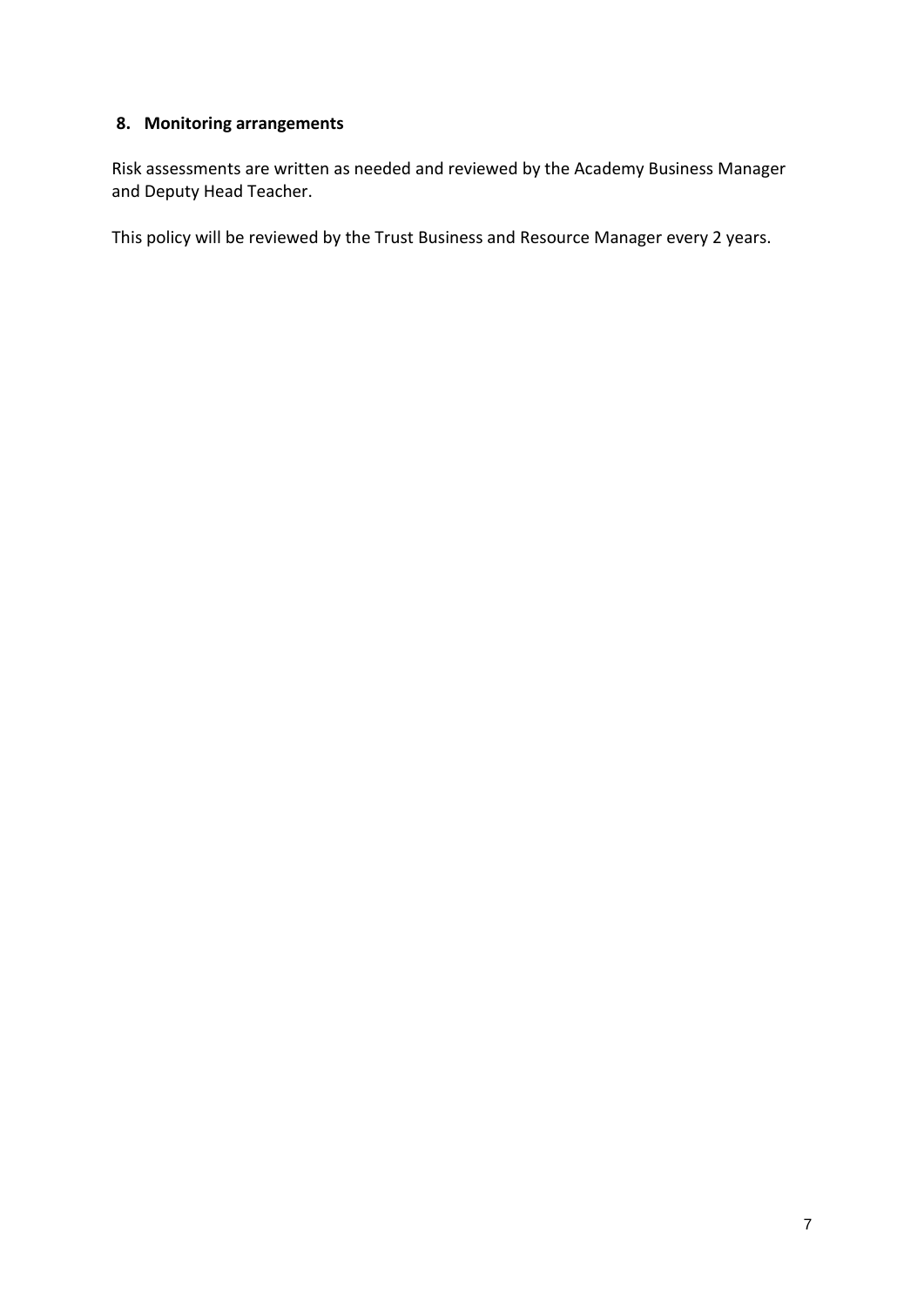# **8. Monitoring arrangements**

Risk assessments are written as needed and reviewed by the Academy Business Manager and Deputy Head Teacher.

This policy will be reviewed by the Trust Business and Resource Manager every 2 years.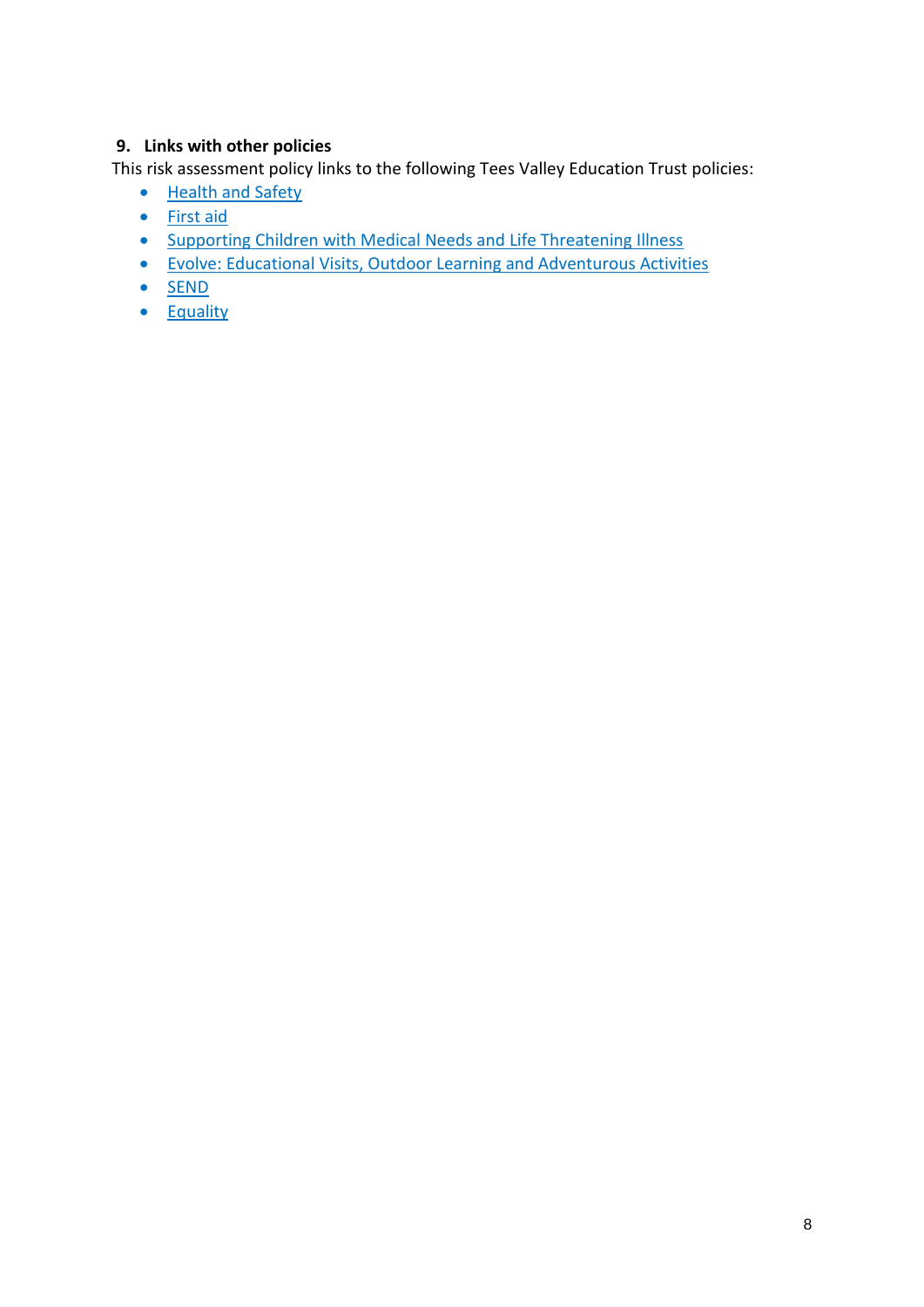## **9. Links with other policies**

This risk assessment policy links to the following Tees Valley Education Trust policies:

- [Health and Safety](https://www.teesvalleyeducation.co.uk/wp-content/uploads/2019/10/1543575406-Health-and-Safety-Policy.pdf)
- [First aid](https://www.teesvalleyeducation.co.uk/wp-content/uploads/2019/10/1543575408-First-Aid-Policy-June-2018.pdf)
- [Supporting Children with Medical Needs and Life Threatening Illness](https://www.teesvalleyeducation.co.uk/wp-content/uploads/2019/10/1543575407-Supporting-Children-with-Medical-Needs-and-Life-Threatening-Illness.pdf)
- [Evolve: Educational Visits, Outdoor Learning and Adventurous Activities](https://www.teesvalleyeducation.co.uk/wp-content/uploads/2019/10/1543575408-Evolve-Policy.pdf)
- $\bullet$  [SEND](https://www.teesvalleyeducation.co.uk/wp-content/uploads/2020/03/SEND-Policy-Procedures-Sept-2019-v3.0-1.pdf)
- [Equality](https://www.teesvalleyeducation.co.uk/wp-content/uploads/2020/03/Equality-Policy-FINAL_LS.pdf)